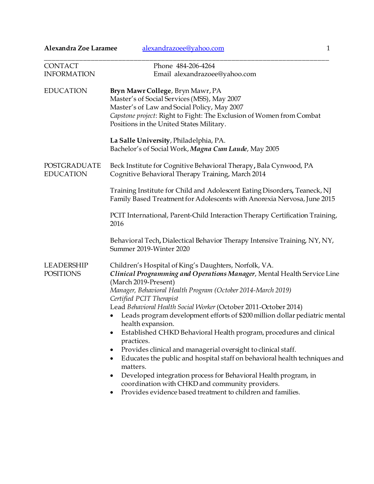| Alexandra Zoe Laramee                 | alexandrazoee@yahoo.com<br>$\mathbf{1}$                                                                                                                                                                                                                                                                                                                                                                                                                                                                                                                                                                                                                                                                                                                                                                                                                                                         |
|---------------------------------------|-------------------------------------------------------------------------------------------------------------------------------------------------------------------------------------------------------------------------------------------------------------------------------------------------------------------------------------------------------------------------------------------------------------------------------------------------------------------------------------------------------------------------------------------------------------------------------------------------------------------------------------------------------------------------------------------------------------------------------------------------------------------------------------------------------------------------------------------------------------------------------------------------|
| <b>CONTACT</b><br><b>INFORMATION</b>  | Phone 484-206-4264<br>Email alexandrazoee@yahoo.com                                                                                                                                                                                                                                                                                                                                                                                                                                                                                                                                                                                                                                                                                                                                                                                                                                             |
| <b>EDUCATION</b>                      | Bryn Mawr College, Bryn Mawr, PA<br>Master's of Social Services (MSS), May 2007<br>Master's of Law and Social Policy, May 2007<br>Capstone project: Right to Fight: The Exclusion of Women from Combat<br>Positions in the United States Military.<br>La Salle University, Philadelphia, PA.                                                                                                                                                                                                                                                                                                                                                                                                                                                                                                                                                                                                    |
|                                       | Bachelor's of Social Work, Magna Cum Laude, May 2005                                                                                                                                                                                                                                                                                                                                                                                                                                                                                                                                                                                                                                                                                                                                                                                                                                            |
| POSTGRADUATE<br><b>EDUCATION</b>      | Beck Institute for Cognitive Behavioral Therapy, Bala Cynwood, PA<br>Cognitive Behavioral Therapy Training, March 2014                                                                                                                                                                                                                                                                                                                                                                                                                                                                                                                                                                                                                                                                                                                                                                          |
|                                       | Training Institute for Child and Adolescent Eating Disorders, Teaneck, NJ<br>Family Based Treatment for Adolescents with Anorexia Nervosa, June 2015                                                                                                                                                                                                                                                                                                                                                                                                                                                                                                                                                                                                                                                                                                                                            |
|                                       | PCIT International, Parent-Child Interaction Therapy Certification Training,<br>2016                                                                                                                                                                                                                                                                                                                                                                                                                                                                                                                                                                                                                                                                                                                                                                                                            |
|                                       | Behavioral Tech, Dialectical Behavior Therapy Intensive Training, NY, NY,<br>Summer 2019-Winter 2020                                                                                                                                                                                                                                                                                                                                                                                                                                                                                                                                                                                                                                                                                                                                                                                            |
| <b>LEADERSHIP</b><br><b>POSITIONS</b> | Children's Hospital of King's Daughters, Norfolk, VA.<br>Clinical Programming and Operations Manager, Mental Health Service Line<br>(March 2019-Present)<br>Manager, Behavioral Health Program (October 2014-March 2019)<br>Certified PCIT Therapist<br>Lead Behavioral Health Social Worker (October 2011-October 2014)<br>Leads program development efforts of \$200 million dollar pediatric mental<br>health expansion.<br>Established CHKD Behavioral Health program, procedures and clinical<br>$\bullet$<br>practices.<br>Provides clinical and managerial oversight to clinical staff.<br>٠<br>Educates the public and hospital staff on behavioral health techniques and<br>$\bullet$<br>matters.<br>Developed integration process for Behavioral Health program, in<br>coordination with CHKD and community providers.<br>Provides evidence based treatment to children and families. |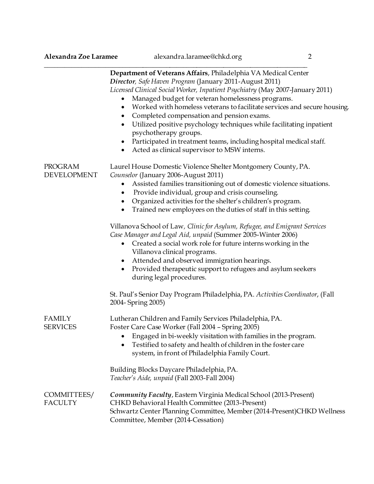|                                  | Department of Veterans Affairs, Philadelphia VA Medical Center<br>Director, Safe Haven Program (January 2011-August 2011)<br>Licensed Clinical Social Worker, Inpatient Psychiatry (May 2007-January 2011)<br>Managed budget for veteran homelessness programs.<br>Worked with homeless veterans to facilitate services and secure housing.<br>$\bullet$<br>Completed compensation and pension exams.<br>$\bullet$<br>Utilized positive psychology techniques while facilitating inpatient<br>$\bullet$<br>psychotherapy groups.<br>Participated in treatment teams, including hospital medical staff.<br>$\bullet$<br>Acted as clinical supervisor to MSW interns.<br>$\bullet$ |
|----------------------------------|----------------------------------------------------------------------------------------------------------------------------------------------------------------------------------------------------------------------------------------------------------------------------------------------------------------------------------------------------------------------------------------------------------------------------------------------------------------------------------------------------------------------------------------------------------------------------------------------------------------------------------------------------------------------------------|
| PROGRAM<br><b>DEVELOPMENT</b>    | Laurel House Domestic Violence Shelter Montgomery County, PA.<br>Counselor (January 2006-August 2011)<br>Assisted families transitioning out of domestic violence situations.<br>Provide individual, group and crisis counseling.<br>$\bullet$<br>Organized activities for the shelter's children's program.<br>$\bullet$<br>Trained new employees on the duties of staff in this setting.<br>$\bullet$                                                                                                                                                                                                                                                                          |
|                                  | Villanova School of Law, Clinic for Asylum, Refugee, and Emigrant Services<br>Case Manager and Legal Aid, unpaid (Summer 2005-Winter 2006)<br>Created a social work role for future interns working in the<br>$\bullet$<br>Villanova clinical programs.<br>Attended and observed immigration hearings.<br>$\bullet$<br>Provided therapeutic support to refugees and asylum seekers<br>during legal procedures.                                                                                                                                                                                                                                                                   |
|                                  | St. Paul's Senior Day Program Philadelphia, PA. Activities Coordinator, (Fall<br>2004- Spring 2005)                                                                                                                                                                                                                                                                                                                                                                                                                                                                                                                                                                              |
| <b>FAMILY</b><br><b>SERVICES</b> | Lutheran Children and Family Services Philadelphia, PA.<br>Foster Care Case Worker (Fall 2004 - Spring 2005)<br>• Engaged in bi-weekly visitation with families in the program.<br>Testified to safety and health of children in the foster care<br>system, in front of Philadelphia Family Court.                                                                                                                                                                                                                                                                                                                                                                               |
|                                  | Building Blocks Daycare Philadelphia, PA.<br>Teacher's Aide, unpaid (Fall 2003-Fall 2004)                                                                                                                                                                                                                                                                                                                                                                                                                                                                                                                                                                                        |
| COMMITTEES/<br><b>FACULTY</b>    | <b>Community Faculty, Eastern Virginia Medical School (2013-Present)</b><br>CHKD Behavioral Health Committee (2013-Present)<br>Schwartz Center Planning Committee, Member (2014-Present)CHKD Wellness<br>Committee, Member (2014-Cessation)                                                                                                                                                                                                                                                                                                                                                                                                                                      |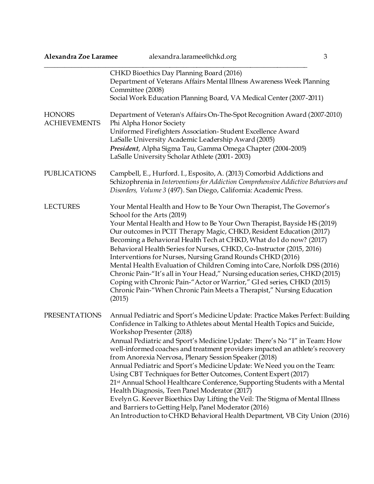| Alexandra Zoe Laramee                | alexandra.laramee@chkd.org                                                                                                                                                                                                                                                                                                                                                                                                                                                                                                                                                                                                                                                                                                                                                                                                                                                                                         | 3 |
|--------------------------------------|--------------------------------------------------------------------------------------------------------------------------------------------------------------------------------------------------------------------------------------------------------------------------------------------------------------------------------------------------------------------------------------------------------------------------------------------------------------------------------------------------------------------------------------------------------------------------------------------------------------------------------------------------------------------------------------------------------------------------------------------------------------------------------------------------------------------------------------------------------------------------------------------------------------------|---|
|                                      | CHKD Bioethics Day Planning Board (2016)<br>Department of Veterans Affairs Mental Illness Awareness Week Planning<br>Committee (2008)<br>Social Work Education Planning Board, VA Medical Center (2007-2011)                                                                                                                                                                                                                                                                                                                                                                                                                                                                                                                                                                                                                                                                                                       |   |
| <b>HONORS</b><br><b>ACHIEVEMENTS</b> | Department of Veteran's Affairs On-The-Spot Recognition Award (2007-2010)<br>Phi Alpha Honor Society<br>Uniformed Firefighters Association-Student Excellence Award<br>LaSalle University Academic Leadership Award (2005)<br>President, Alpha Sigma Tau, Gamma Omega Chapter (2004-2005)<br>LaSalle University Scholar Athlete (2001-2003)                                                                                                                                                                                                                                                                                                                                                                                                                                                                                                                                                                        |   |
| <b>PUBLICATIONS</b>                  | Campbell, E., Hurford. I., Esposito, A. (2013) Comorbid Addictions and<br>Schizophrenia in Interventions for Addiction Comprehensive Addictive Behaviors and<br>Disorders, Volume 3 (497). San Diego, California: Academic Press.                                                                                                                                                                                                                                                                                                                                                                                                                                                                                                                                                                                                                                                                                  |   |
| <b>LECTURES</b>                      | Your Mental Health and How to Be Your Own Therapist, The Governor's<br>School for the Arts (2019)<br>Your Mental Health and How to Be Your Own Therapist, Bayside HS (2019)<br>Our outcomes in PCIT Therapy Magic, CHKD, Resident Education (2017)<br>Becoming a Behavioral Health Tech at CHKD, What do I do now? (2017)<br>Behavioral Health Series for Nurses, CHKD, Co-Instructor (2015, 2016)<br>Interventions for Nurses, Nursing Grand Rounds CHKD (2016)<br>Mental Health Evaluation of Children Coming into Care, Norfolk DSS (2016)<br>Chronic Pain-"It's all in Your Head," Nursing education series, CHKD (2015)<br>Coping with Chronic Pain-"Actor or Warrior," GI ed series, CHKD (2015)<br>Chronic Pain-"When Chronic Pain Meets a Therapist," Nursing Education<br>(2015)                                                                                                                          |   |
| <b>PRESENTATIONS</b>                 | Annual Pediatric and Sport's Medicine Update: Practice Makes Perfect: Building<br>Confidence in Talking to Athletes about Mental Health Topics and Suicide,<br>Workshop Presenter (2018)<br>Annual Pediatric and Sport's Medicine Update: There's No "I" in Team: How<br>well-informed coaches and treatment providers impacted an athlete's recovery<br>from Anorexia Nervosa, Plenary Session Speaker (2018)<br>Annual Pediatric and Sport's Medicine Update: We Need you on the Team:<br>Using CBT Techniques for Better Outcomes, Content Expert (2017)<br>21st Annual School Healthcare Conference, Supporting Students with a Mental<br>Health Diagnosis, Teen Panel Moderator (2017)<br>Evelyn G. Keever Bioethics Day Lifting the Veil: The Stigma of Mental Illness<br>and Barriers to Getting Help, Panel Moderator (2016)<br>An Introduction to CHKD Behavioral Health Department, VB City Union (2016) |   |